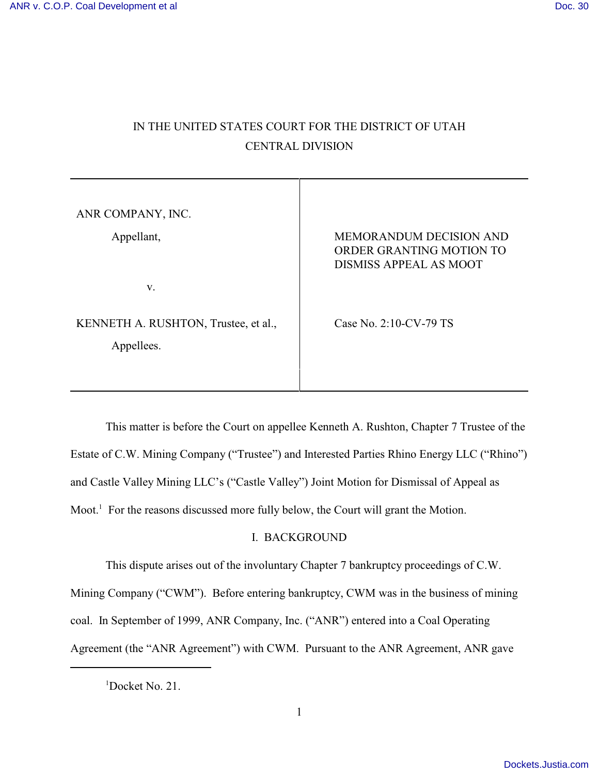# IN THE UNITED STATES COURT FOR THE DISTRICT OF UTAH CENTRAL DIVISION

| ANR COMPANY, INC.                                  |                                                                                             |
|----------------------------------------------------|---------------------------------------------------------------------------------------------|
| Appellant,                                         | <b>MEMORANDUM DECISION AND</b><br>ORDER GRANTING MOTION TO<br><b>DISMISS APPEAL AS MOOT</b> |
| V.                                                 |                                                                                             |
| KENNETH A. RUSHTON, Trustee, et al.,<br>Appellees. | Case No. $2:10$ -CV-79 TS                                                                   |

This matter is before the Court on appellee Kenneth A. Rushton, Chapter 7 Trustee of the Estate of C.W. Mining Company ("Trustee") and Interested Parties Rhino Energy LLC ("Rhino") and Castle Valley Mining LLC's ("Castle Valley") Joint Motion for Dismissal of Appeal as Moot. $<sup>1</sup>$  For the reasons discussed more fully below, the Court will grant the Motion.</sup>

## I. BACKGROUND

This dispute arises out of the involuntary Chapter 7 bankruptcy proceedings of C.W.

Mining Company ("CWM"). Before entering bankruptcy, CWM was in the business of mining

coal. In September of 1999, ANR Company, Inc. ("ANR") entered into a Coal Operating

Agreement (the "ANR Agreement") with CWM. Pursuant to the ANR Agreement, ANR gave

 $1$ Docket No. 21.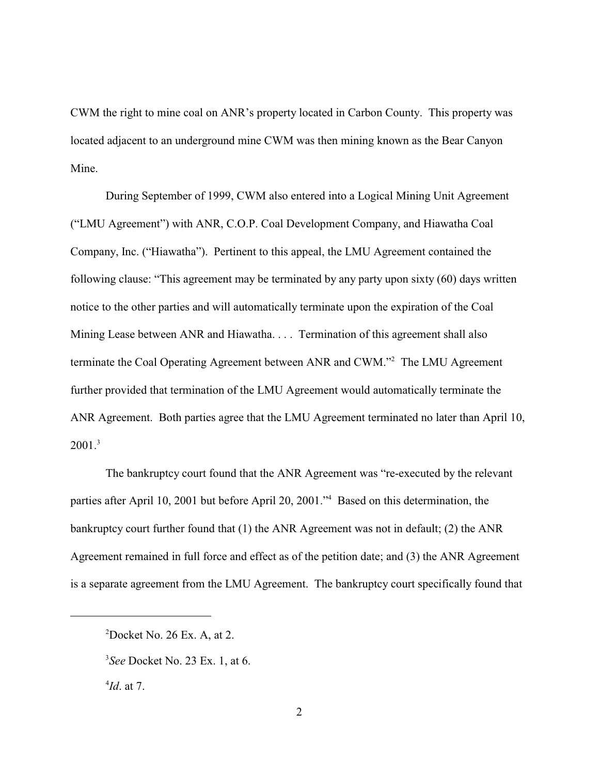CWM the right to mine coal on ANR's property located in Carbon County. This property was located adjacent to an underground mine CWM was then mining known as the Bear Canyon Mine.

During September of 1999, CWM also entered into a Logical Mining Unit Agreement ("LMU Agreement") with ANR, C.O.P. Coal Development Company, and Hiawatha Coal Company, Inc. ("Hiawatha"). Pertinent to this appeal, the LMU Agreement contained the following clause: "This agreement may be terminated by any party upon sixty (60) days written notice to the other parties and will automatically terminate upon the expiration of the Coal Mining Lease between ANR and Hiawatha. . . . Termination of this agreement shall also terminate the Coal Operating Agreement between ANR and CWM."<sup>2</sup> The LMU Agreement further provided that termination of the LMU Agreement would automatically terminate the ANR Agreement. Both parties agree that the LMU Agreement terminated no later than April 10,  $2001.<sup>3</sup>$ 

The bankruptcy court found that the ANR Agreement was "re-executed by the relevant parties after April 10, 2001 but before April 20, 2001." Based on this determination, the bankruptcy court further found that (1) the ANR Agreement was not in default; (2) the ANR Agreement remained in full force and effect as of the petition date; and (3) the ANR Agreement is a separate agreement from the LMU Agreement. The bankruptcy court specifically found that

 $^{4}$ *Id*. at 7.

 $2Docket$  No. 26 Ex. A, at 2.

*See* Docket No. 23 Ex. 1, at 6. <sup>3</sup>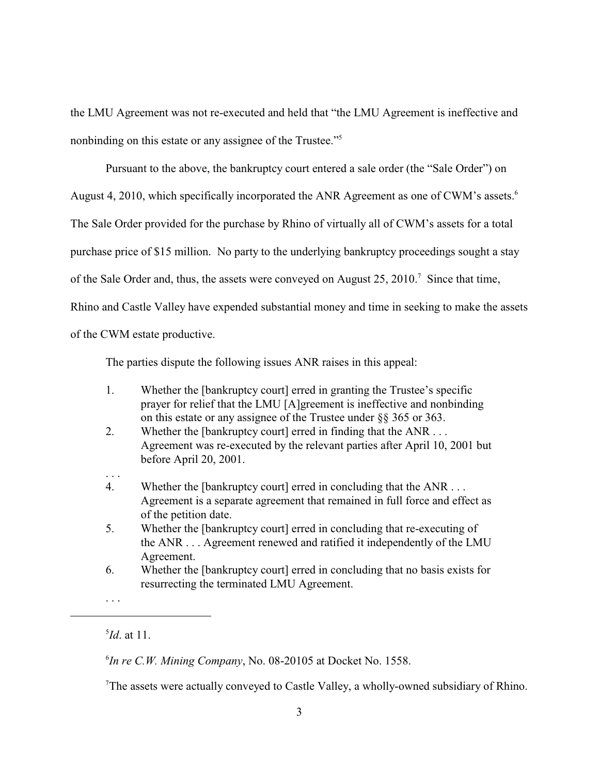the LMU Agreement was not re-executed and held that "the LMU Agreement is ineffective and nonbinding on this estate or any assignee of the Trustee."<sup>5</sup>

Pursuant to the above, the bankruptcy court entered a sale order (the "Sale Order") on August 4, 2010, which specifically incorporated the ANR Agreement as one of CWM's assets.<sup>6</sup> The Sale Order provided for the purchase by Rhino of virtually all of CWM's assets for a total purchase price of \$15 million. No party to the underlying bankruptcy proceedings sought a stay of the Sale Order and, thus, the assets were conveyed on August 25, 2010.<sup>7</sup> Since that time, Rhino and Castle Valley have expended substantial money and time in seeking to make the assets of the CWM estate productive.

The parties dispute the following issues ANR raises in this appeal:

- 1. Whether the [bankruptcy court] erred in granting the Trustee's specific prayer for relief that the LMU [A]greement is ineffective and nonbinding on this estate or any assignee of the Trustee under §§ 365 or 363.
- 2. Whether the [bankruptcy court] erred in finding that the ANR . . . Agreement was re-executed by the relevant parties after April 10, 2001 but before April 20, 2001.
- 4. Whether the [bankruptcy court] erred in concluding that the ANR . . . Agreement is a separate agreement that remained in full force and effect as of the petition date.
- 5. Whether the [bankruptcy court] erred in concluding that re-executing of the ANR . . . Agreement renewed and ratified it independently of the LMU Agreement.
- 6. Whether the [bankruptcy court] erred in concluding that no basis exists for resurrecting the terminated LMU Agreement.
- . . .

. . .

 $^{5}Id$ . at 11.

 ${}^{6}$ In re C.W. Mining Company, No. 08-20105 at Docket No. 1558.

<sup>&</sup>lt;sup>7</sup>The assets were actually conveyed to Castle Valley, a wholly-owned subsidiary of Rhino.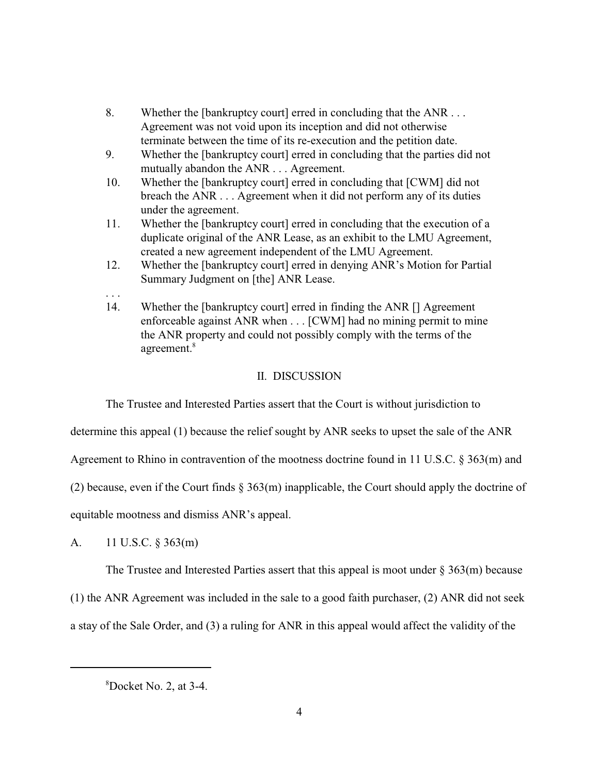- 8. Whether the [bankruptcy court] erred in concluding that the ANR . . . Agreement was not void upon its inception and did not otherwise terminate between the time of its re-execution and the petition date.
- 9. Whether the [bankruptcy court] erred in concluding that the parties did not mutually abandon the ANR . . . Agreement.
- 10. Whether the [bankruptcy court] erred in concluding that [CWM] did not breach the ANR . . . Agreement when it did not perform any of its duties under the agreement.
- 11. Whether the [bankruptcy court] erred in concluding that the execution of a duplicate original of the ANR Lease, as an exhibit to the LMU Agreement, created a new agreement independent of the LMU Agreement.
- 12. Whether the [bankruptcy court] erred in denying ANR's Motion for Partial Summary Judgment on [the] ANR Lease.
- 14. Whether the [bankruptcy court] erred in finding the ANR [] Agreement enforceable against ANR when . . . [CWM] had no mining permit to mine the ANR property and could not possibly comply with the terms of the agreement.<sup>8</sup>

## II. DISCUSSION

The Trustee and Interested Parties assert that the Court is without jurisdiction to

determine this appeal (1) because the relief sought by ANR seeks to upset the sale of the ANR

Agreement to Rhino in contravention of the mootness doctrine found in 11 U.S.C. § 363(m) and

(2) because, even if the Court finds  $\S 363(m)$  inapplicable, the Court should apply the doctrine of

equitable mootness and dismiss ANR's appeal.

A. 11 U.S.C. § 363(m)

. . .

The Trustee and Interested Parties assert that this appeal is moot under  $\S 363(m)$  because

(1) the ANR Agreement was included in the sale to a good faith purchaser, (2) ANR did not seek

a stay of the Sale Order, and (3) a ruling for ANR in this appeal would affect the validity of the

 ${}^{8}$ Docket No. 2, at 3-4.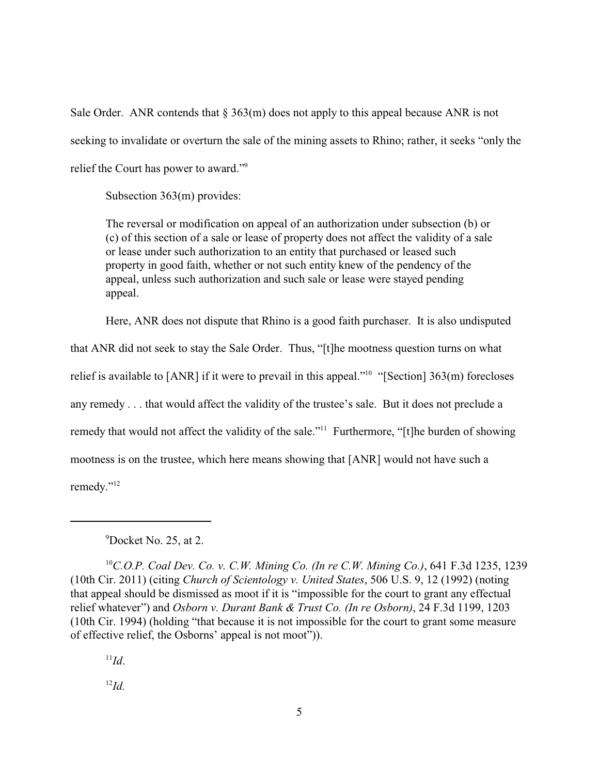Sale Order. ANR contends that  $\S 363(m)$  does not apply to this appeal because ANR is not seeking to invalidate or overturn the sale of the mining assets to Rhino; rather, it seeks "only the relief the Court has power to award."<sup>9</sup>

Subsection 363(m) provides:

The reversal or modification on appeal of an authorization under subsection (b) or (c) of this section of a sale or lease of property does not affect the validity of a sale or lease under such authorization to an entity that purchased or leased such property in good faith, whether or not such entity knew of the pendency of the appeal, unless such authorization and such sale or lease were stayed pending appeal.

Here, ANR does not dispute that Rhino is a good faith purchaser. It is also undisputed

that ANR did not seek to stay the Sale Order. Thus, "[t]he mootness question turns on what relief is available to [ANR] if it were to prevail in this appeal."<sup>10</sup> "[Section]  $363(m)$  forecloses any remedy . . . that would affect the validity of the trustee's sale. But it does not preclude a remedy that would not affect the validity of the sale."<sup>11</sup> Furthermore, "[t]he burden of showing mootness is on the trustee, which here means showing that [ANR] would not have such a remedy."<sup>12</sup>

## $^{9}$ Docket No. 25, at 2.

<sup>10</sup> C.O.P. Coal Dev. Co. v. C.W. Mining Co. (In re C.W. Mining Co.), 641 F.3d 1235, 1239 (10th Cir. 2011) (citing *Church of Scientology v. United States*, 506 U.S. 9, 12 (1992) (noting that appeal should be dismissed as moot if it is "impossible for the court to grant any effectual relief whatever") and *Osborn v. Durant Bank & Trust Co. (In re Osborn)*, 24 F.3d 1199, 1203 (10th Cir. 1994) (holding "that because it is not impossible for the court to grant some measure of effective relief, the Osborns' appeal is not moot")).

 $\mathbf{I}^1 \mathbf{Id}$ .

 $^{12}Id$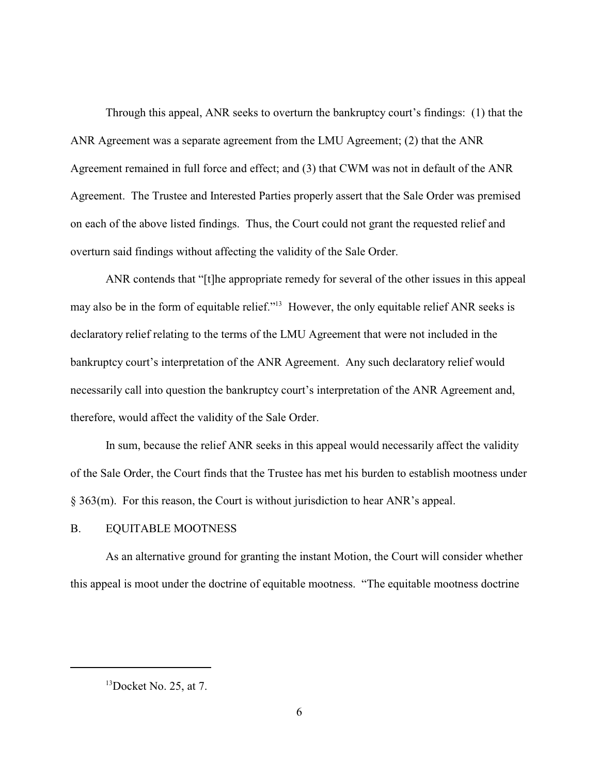Through this appeal, ANR seeks to overturn the bankruptcy court's findings: (1) that the ANR Agreement was a separate agreement from the LMU Agreement; (2) that the ANR Agreement remained in full force and effect; and (3) that CWM was not in default of the ANR Agreement. The Trustee and Interested Parties properly assert that the Sale Order was premised on each of the above listed findings. Thus, the Court could not grant the requested relief and overturn said findings without affecting the validity of the Sale Order.

ANR contends that "[t]he appropriate remedy for several of the other issues in this appeal may also be in the form of equitable relief."<sup>13</sup> However, the only equitable relief ANR seeks is declaratory relief relating to the terms of the LMU Agreement that were not included in the bankruptcy court's interpretation of the ANR Agreement. Any such declaratory relief would necessarily call into question the bankruptcy court's interpretation of the ANR Agreement and, therefore, would affect the validity of the Sale Order.

In sum, because the relief ANR seeks in this appeal would necessarily affect the validity of the Sale Order, the Court finds that the Trustee has met his burden to establish mootness under § 363(m). For this reason, the Court is without jurisdiction to hear ANR's appeal.

#### B. EQUITABLE MOOTNESS

As an alternative ground for granting the instant Motion, the Court will consider whether this appeal is moot under the doctrine of equitable mootness. "The equitable mootness doctrine

 $13$ Docket No. 25, at 7.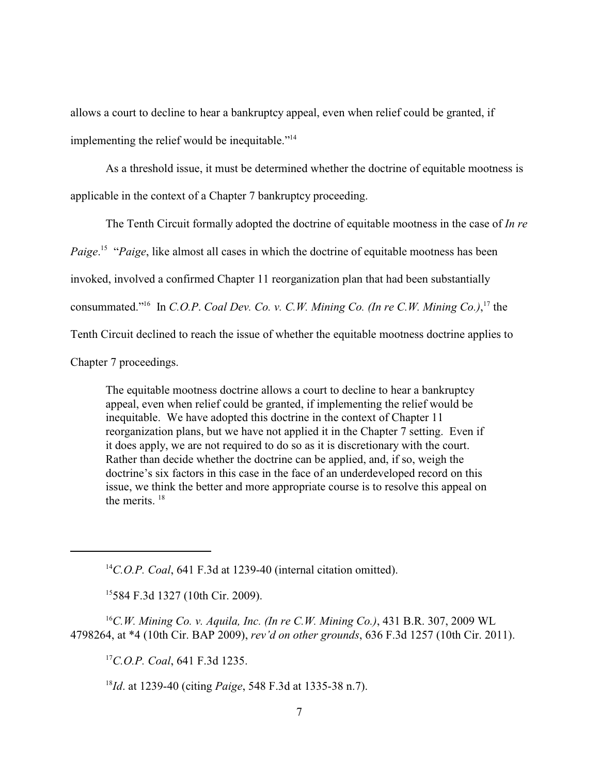allows a court to decline to hear a bankruptcy appeal, even when relief could be granted, if implementing the relief would be inequitable."<sup>14</sup>

As a threshold issue, it must be determined whether the doctrine of equitable mootness is applicable in the context of a Chapter 7 bankruptcy proceeding.

The Tenth Circuit formally adopted the doctrine of equitable mootness in the case of *In re*

*Paige*.<sup>15</sup> "*Paige*, like almost all cases in which the doctrine of equitable mootness has been

invoked, involved a confirmed Chapter 11 reorganization plan that had been substantially

consummated."<sup>16</sup> In *C.O.P. Coal Dev. Co. v. C.W. Mining Co. (In re C.W. Mining Co.)*,<sup>17</sup> the

Tenth Circuit declined to reach the issue of whether the equitable mootness doctrine applies to

Chapter 7 proceedings.

The equitable mootness doctrine allows a court to decline to hear a bankruptcy appeal, even when relief could be granted, if implementing the relief would be inequitable. We have adopted this doctrine in the context of Chapter 11 reorganization plans, but we have not applied it in the Chapter 7 setting. Even if it does apply, we are not required to do so as it is discretionary with the court. Rather than decide whether the doctrine can be applied, and, if so, weigh the doctrine's six factors in this case in the face of an underdeveloped record on this issue, we think the better and more appropriate course is to resolve this appeal on the merits.<sup>18</sup>

<sup>14</sup>C.O.P. Coal, 641 F.3d at 1239-40 (internal citation omitted).

<sup>15</sup>584 F.3d 1327 (10th Cir. 2009).

<sup>16</sup>C.W. Mining Co. v. Aquila, Inc. (In re C.W. Mining Co.), 431 B.R. 307, 2009 WL 4798264, at \*4 (10th Cir. BAP 2009), *rev'd on other grounds*, 636 F.3d 1257 (10th Cir. 2011).

<sup>17</sup>C.O.P. Coal, 641 F.3d 1235.

<sup>18</sup>*Id*. at 1239-40 (citing *Paige*, 548 F.3d at 1335-38 n.7).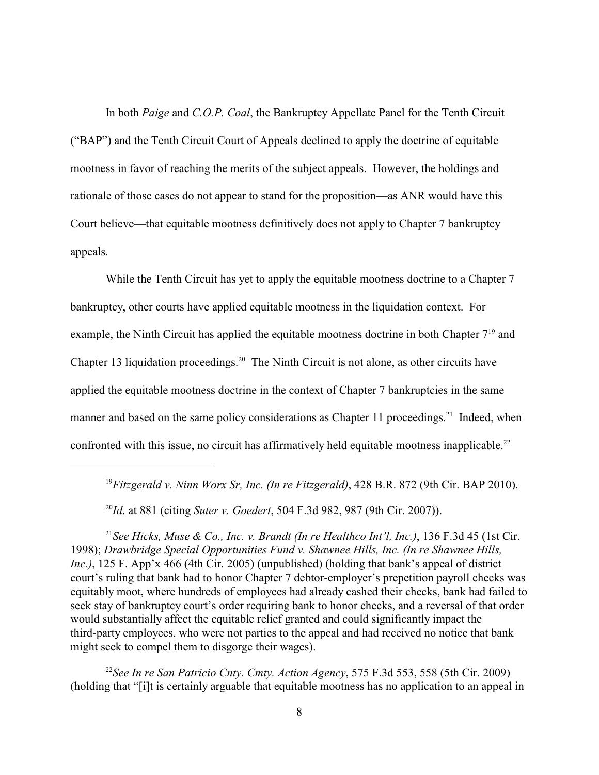In both *Paige* and *C.O.P. Coal*, the Bankruptcy Appellate Panel for the Tenth Circuit ("BAP") and the Tenth Circuit Court of Appeals declined to apply the doctrine of equitable mootness in favor of reaching the merits of the subject appeals. However, the holdings and rationale of those cases do not appear to stand for the proposition—as ANR would have this Court believe—that equitable mootness definitively does not apply to Chapter 7 bankruptcy appeals.

While the Tenth Circuit has yet to apply the equitable mootness doctrine to a Chapter 7 bankruptcy, other courts have applied equitable mootness in the liquidation context. For example, the Ninth Circuit has applied the equitable mootness doctrine in both Chapter  $7<sup>19</sup>$  and Chapter 13 liquidation proceedings.<sup>20</sup> The Ninth Circuit is not alone, as other circuits have applied the equitable mootness doctrine in the context of Chapter 7 bankruptcies in the same manner and based on the same policy considerations as Chapter 11 proceedings.<sup>21</sup> Indeed, when confronted with this issue, no circuit has affirmatively held equitable mootness inapplicable.<sup>22</sup>

<sup>19</sup> Fitzgerald v. Ninn Worx Sr, Inc. (In re Fitzgerald), 428 B.R. 872 (9th Cir. BAP 2010).

<sup>20</sup>*Id.* at 881 (citing *Suter v. Goedert*, 504 F.3d 982, 987 (9th Cir. 2007)).

<sup>21</sup> See Hicks, Muse & Co., Inc. v. Brandt (In re Healthco Int'l, Inc.), 136 F.3d 45 (1st Cir. 1998); *Drawbridge Special Opportunities Fund v. Shawnee Hills, Inc. (In re Shawnee Hills, Inc.)*, 125 F. App'x 466 (4th Cir. 2005) (unpublished) (holding that bank's appeal of district court's ruling that bank had to honor Chapter 7 debtor-employer's prepetition payroll checks was equitably moot, where hundreds of employees had already cashed their checks, bank had failed to seek stay of bankruptcy court's order requiring bank to honor checks, and a reversal of that order would substantially affect the equitable relief granted and could significantly impact the third-party employees, who were not parties to the appeal and had received no notice that bank might seek to compel them to disgorge their wages).

<sup>22</sup> See In re San Patricio Cnty. Cmty. Action Agency, 575 F.3d 553, 558 (5th Cir. 2009) (holding that "[i]t is certainly arguable that equitable mootness has no application to an appeal in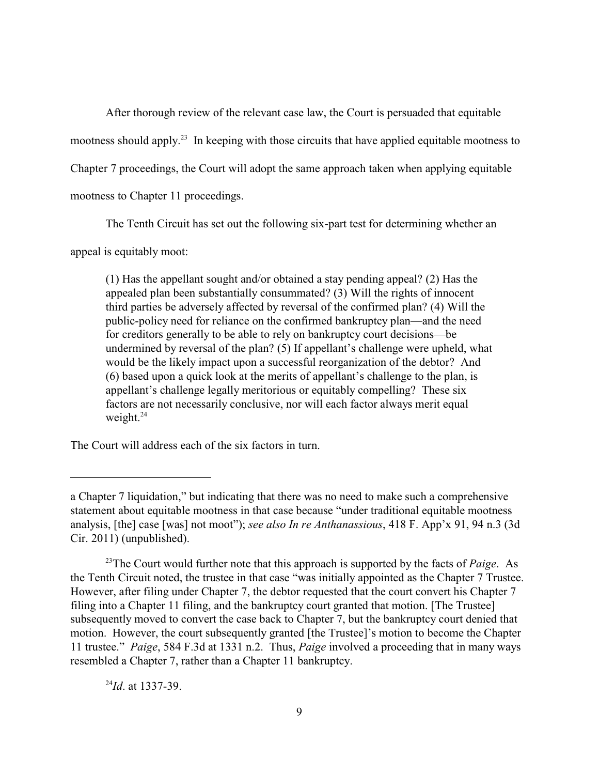After thorough review of the relevant case law, the Court is persuaded that equitable

mootness should apply.<sup>23</sup> In keeping with those circuits that have applied equitable mootness to

Chapter 7 proceedings, the Court will adopt the same approach taken when applying equitable

mootness to Chapter 11 proceedings.

The Tenth Circuit has set out the following six-part test for determining whether an

appeal is equitably moot:

(1) Has the appellant sought and/or obtained a stay pending appeal? (2) Has the appealed plan been substantially consummated? (3) Will the rights of innocent third parties be adversely affected by reversal of the confirmed plan? (4) Will the public-policy need for reliance on the confirmed bankruptcy plan—and the need for creditors generally to be able to rely on bankruptcy court decisions—be undermined by reversal of the plan? (5) If appellant's challenge were upheld, what would be the likely impact upon a successful reorganization of the debtor? And (6) based upon a quick look at the merits of appellant's challenge to the plan, is appellant's challenge legally meritorious or equitably compelling? These six factors are not necessarily conclusive, nor will each factor always merit equal weight. $^{24}$ 

The Court will address each of the six factors in turn.

 $^{24}$ *Id.* at 1337-39.

a Chapter 7 liquidation," but indicating that there was no need to make such a comprehensive statement about equitable mootness in that case because "under traditional equitable mootness analysis, [the] case [was] not moot"); *see also In re Anthanassious*, 418 F. App'x 91, 94 n.3 (3d Cir. 2011) (unpublished).

<sup>&</sup>lt;sup>23</sup>The Court would further note that this approach is supported by the facts of *Paige*. As the Tenth Circuit noted, the trustee in that case "was initially appointed as the Chapter 7 Trustee. However, after filing under Chapter 7, the debtor requested that the court convert his Chapter 7 filing into a Chapter 11 filing, and the bankruptcy court granted that motion. [The Trustee] subsequently moved to convert the case back to Chapter 7, but the bankruptcy court denied that motion. However, the court subsequently granted [the Trustee]'s motion to become the Chapter 11 trustee." *Paige*, 584 F.3d at 1331 n.2. Thus, *Paige* involved a proceeding that in many ways resembled a Chapter 7, rather than a Chapter 11 bankruptcy.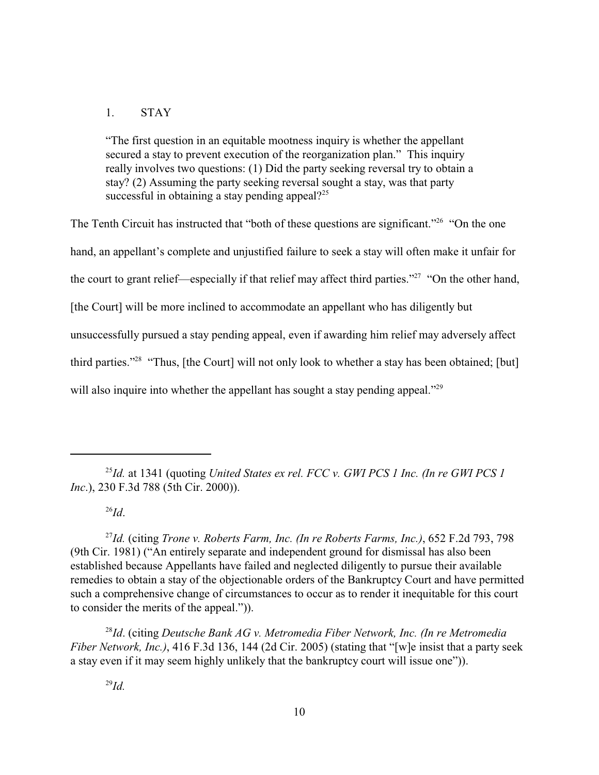## 1. STAY

"The first question in an equitable mootness inquiry is whether the appellant secured a stay to prevent execution of the reorganization plan." This inquiry really involves two questions: (1) Did the party seeking reversal try to obtain a stay? (2) Assuming the party seeking reversal sought a stay, was that party successful in obtaining a stay pending appeal? $2^{25}$ 

The Tenth Circuit has instructed that "both of these questions are significant."<sup>26</sup> "On the one hand, an appellant's complete and unjustified failure to seek a stay will often make it unfair for the court to grant relief—especially if that relief may affect third parties."<sup>27</sup> "On the other hand, [the Court] will be more inclined to accommodate an appellant who has diligently but unsuccessfully pursued a stay pending appeal, even if awarding him relief may adversely affect third parties."<sup>28</sup> "Thus, [the Court] will not only look to whether a stay has been obtained; [but] will also inquire into whether the appellant has sought a stay pending appeal."<sup>29</sup>

*Id*. 26

<sup>27</sup>Id. (citing *Trone v. Roberts Farm, Inc. (In re Roberts Farms, Inc.)*, 652 F.2d 793, 798 (9th Cir. 1981) ("An entirely separate and independent ground for dismissal has also been established because Appellants have failed and neglected diligently to pursue their available remedies to obtain a stay of the objectionable orders of the Bankruptcy Court and have permitted such a comprehensive change of circumstances to occur as to render it inequitable for this court to consider the merits of the appeal.")).

<sup>28</sup>Id. (citing *Deutsche Bank AG v. Metromedia Fiber Network, Inc. (In re Metromedia Fiber Network, Inc.)*, 416 F.3d 136, 144 (2d Cir. 2005) (stating that "[w]e insist that a party seek a stay even if it may seem highly unlikely that the bankruptcy court will issue one")).

 $I<sup>25</sup>Id$ . at 1341 (quoting *United States ex rel. FCC v. GWI PCS 1 Inc. (In re GWI PCS 1 Inc*.), 230 F.3d 788 (5th Cir. 2000)).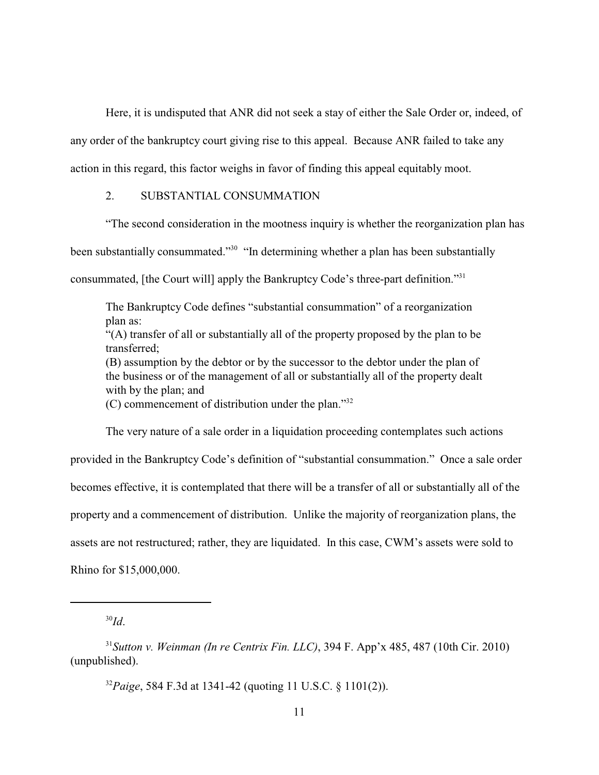Here, it is undisputed that ANR did not seek a stay of either the Sale Order or, indeed, of

any order of the bankruptcy court giving rise to this appeal. Because ANR failed to take any

action in this regard, this factor weighs in favor of finding this appeal equitably moot.

## 2. SUBSTANTIAL CONSUMMATION

"The second consideration in the mootness inquiry is whether the reorganization plan has

been substantially consummated."<sup>30</sup> "In determining whether a plan has been substantially

consummated, [the Court will] apply the Bankruptcy Code's three-part definition."<sup>31</sup>

The Bankruptcy Code defines "substantial consummation" of a reorganization plan as: "(A) transfer of all or substantially all of the property proposed by the plan to be transferred; (B) assumption by the debtor or by the successor to the debtor under the plan of the business or of the management of all or substantially all of the property dealt with by the plan; and (C) commencement of distribution under the plan."<sup>32</sup>

The very nature of a sale order in a liquidation proceeding contemplates such actions

provided in the Bankruptcy Code's definition of "substantial consummation." Once a sale order becomes effective, it is contemplated that there will be a transfer of all or substantially all of the property and a commencement of distribution. Unlike the majority of reorganization plans, the assets are not restructured; rather, they are liquidated. In this case, CWM's assets were sold to Rhino for \$15,000,000.

 $^{30}Id.$ 

 $31$ Sutton v. Weinman (In re Centrix Fin. LLC), 394 F. App'x 485, 487 (10th Cir. 2010) (unpublished).

<sup>&</sup>lt;sup>32</sup>Paige, 584 F.3d at 1341-42 (quoting 11 U.S.C. § 1101(2)).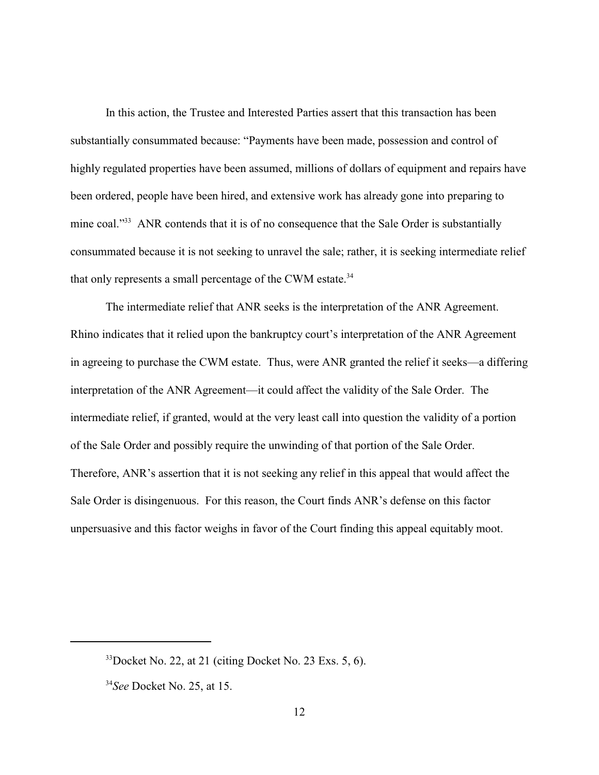In this action, the Trustee and Interested Parties assert that this transaction has been substantially consummated because: "Payments have been made, possession and control of highly regulated properties have been assumed, millions of dollars of equipment and repairs have been ordered, people have been hired, and extensive work has already gone into preparing to mine coal."<sup>33</sup> ANR contends that it is of no consequence that the Sale Order is substantially consummated because it is not seeking to unravel the sale; rather, it is seeking intermediate relief that only represents a small percentage of the CWM estate.<sup>34</sup>

The intermediate relief that ANR seeks is the interpretation of the ANR Agreement. Rhino indicates that it relied upon the bankruptcy court's interpretation of the ANR Agreement in agreeing to purchase the CWM estate. Thus, were ANR granted the relief it seeks—a differing interpretation of the ANR Agreement—it could affect the validity of the Sale Order. The intermediate relief, if granted, would at the very least call into question the validity of a portion of the Sale Order and possibly require the unwinding of that portion of the Sale Order. Therefore, ANR's assertion that it is not seeking any relief in this appeal that would affect the Sale Order is disingenuous. For this reason, the Court finds ANR's defense on this factor unpersuasive and this factor weighs in favor of the Court finding this appeal equitably moot.

 $33$  Docket No. 22, at 21 (citing Docket No. 23 Exs. 5, 6).

*See* Docket No. 25, at 15. <sup>34</sup>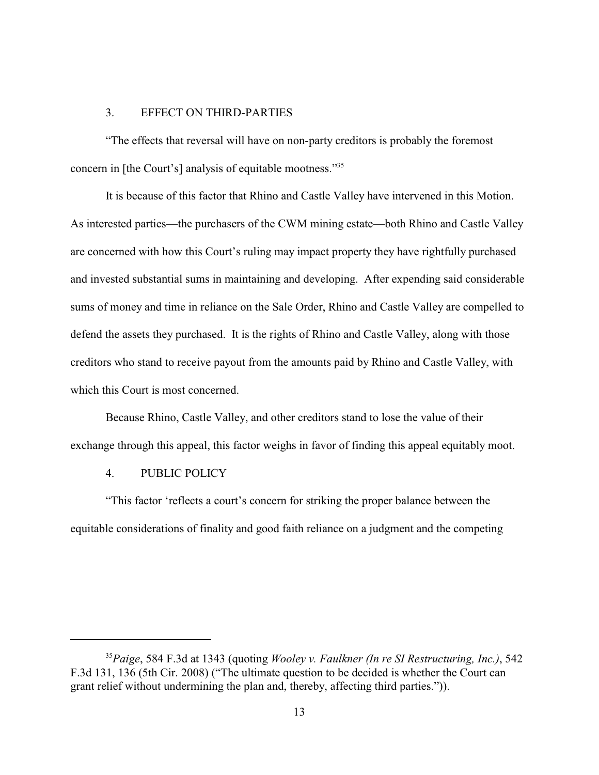#### 3. EFFECT ON THIRD-PARTIES

"The effects that reversal will have on non-party creditors is probably the foremost concern in [the Court's] analysis of equitable mootness."<sup>35</sup>

It is because of this factor that Rhino and Castle Valley have intervened in this Motion. As interested parties—the purchasers of the CWM mining estate—both Rhino and Castle Valley are concerned with how this Court's ruling may impact property they have rightfully purchased and invested substantial sums in maintaining and developing. After expending said considerable sums of money and time in reliance on the Sale Order, Rhino and Castle Valley are compelled to defend the assets they purchased. It is the rights of Rhino and Castle Valley, along with those creditors who stand to receive payout from the amounts paid by Rhino and Castle Valley, with which this Court is most concerned.

Because Rhino, Castle Valley, and other creditors stand to lose the value of their exchange through this appeal, this factor weighs in favor of finding this appeal equitably moot.

#### 4. PUBLIC POLICY

"This factor 'reflects a court's concern for striking the proper balance between the equitable considerations of finality and good faith reliance on a judgment and the competing

*Paige*, 584 F.3d at 1343 (quoting *Wooley v. Faulkner (In re SI Restructuring, Inc.)*, 542 <sup>35</sup> F.3d 131, 136 (5th Cir. 2008) ("The ultimate question to be decided is whether the Court can grant relief without undermining the plan and, thereby, affecting third parties.")).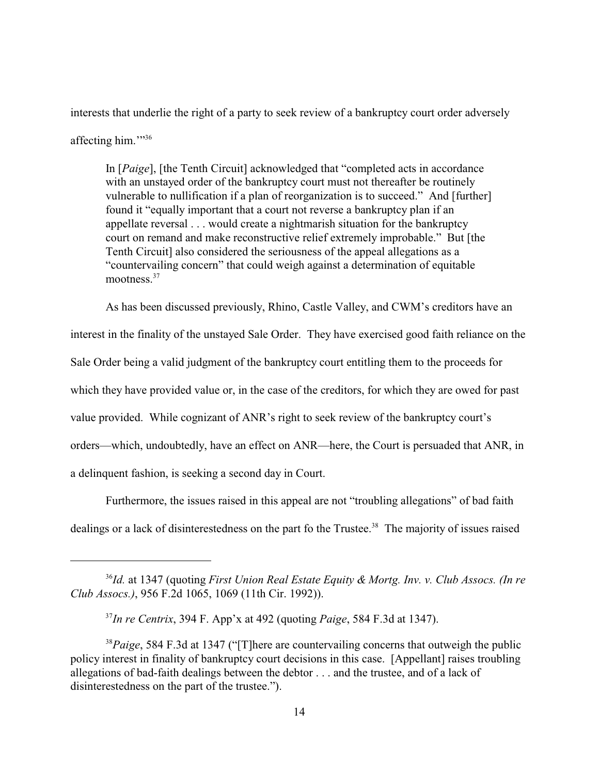interests that underlie the right of a party to seek review of a bankruptcy court order adversely affecting him."<sup>36</sup>

In [*Paige*], [the Tenth Circuit] acknowledged that "completed acts in accordance with an unstayed order of the bankruptcy court must not thereafter be routinely vulnerable to nullification if a plan of reorganization is to succeed." And [further] found it "equally important that a court not reverse a bankruptcy plan if an appellate reversal . . . would create a nightmarish situation for the bankruptcy court on remand and make reconstructive relief extremely improbable." But [the Tenth Circuit] also considered the seriousness of the appeal allegations as a "countervailing concern" that could weigh against a determination of equitable mootness.<sup>37</sup>

As has been discussed previously, Rhino, Castle Valley, and CWM's creditors have an interest in the finality of the unstayed Sale Order. They have exercised good faith reliance on the Sale Order being a valid judgment of the bankruptcy court entitling them to the proceeds for which they have provided value or, in the case of the creditors, for which they are owed for past value provided. While cognizant of ANR's right to seek review of the bankruptcy court's orders—which, undoubtedly, have an effect on ANR—here, the Court is persuaded that ANR, in a delinquent fashion, is seeking a second day in Court.

Furthermore, the issues raised in this appeal are not "troubling allegations" of bad faith dealings or a lack of disinterestedness on the part fo the Trustee.<sup>38</sup> The majority of issues raised

*Id.* at 1347 (quoting *First Union Real Estate Equity & Mortg. Inv. v. Club Assocs. (In re* <sup>36</sup> *Club Assocs.)*, 956 F.2d 1065, 1069 (11th Cir. 1992)).

*In re Centrix*, 394 F. App'x at 492 (quoting *Paige*, 584 F.3d at 1347). <sup>37</sup>

<sup>&</sup>lt;sup>38</sup>Paige, 584 F.3d at 1347 ("[T]here are countervailing concerns that outweigh the public policy interest in finality of bankruptcy court decisions in this case. [Appellant] raises troubling allegations of bad-faith dealings between the debtor . . . and the trustee, and of a lack of disinterestedness on the part of the trustee.").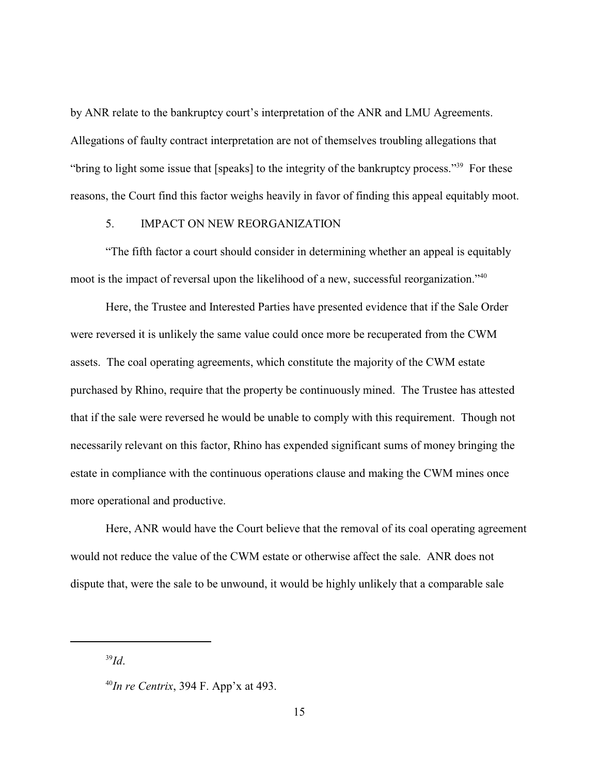by ANR relate to the bankruptcy court's interpretation of the ANR and LMU Agreements. Allegations of faulty contract interpretation are not of themselves troubling allegations that "bring to light some issue that [speaks] to the integrity of the bankruptcy process."<sup>39</sup> For these reasons, the Court find this factor weighs heavily in favor of finding this appeal equitably moot.

#### 5. IMPACT ON NEW REORGANIZATION

"The fifth factor a court should consider in determining whether an appeal is equitably moot is the impact of reversal upon the likelihood of a new, successful reorganization."<sup>40</sup>

Here, the Trustee and Interested Parties have presented evidence that if the Sale Order were reversed it is unlikely the same value could once more be recuperated from the CWM assets. The coal operating agreements, which constitute the majority of the CWM estate purchased by Rhino, require that the property be continuously mined. The Trustee has attested that if the sale were reversed he would be unable to comply with this requirement. Though not necessarily relevant on this factor, Rhino has expended significant sums of money bringing the estate in compliance with the continuous operations clause and making the CWM mines once more operational and productive.

Here, ANR would have the Court believe that the removal of its coal operating agreement would not reduce the value of the CWM estate or otherwise affect the sale. ANR does not dispute that, were the sale to be unwound, it would be highly unlikely that a comparable sale

<sup>39</sup>*Id*.

 $^{40}$ *In re Centrix*, 394 F. App'x at 493.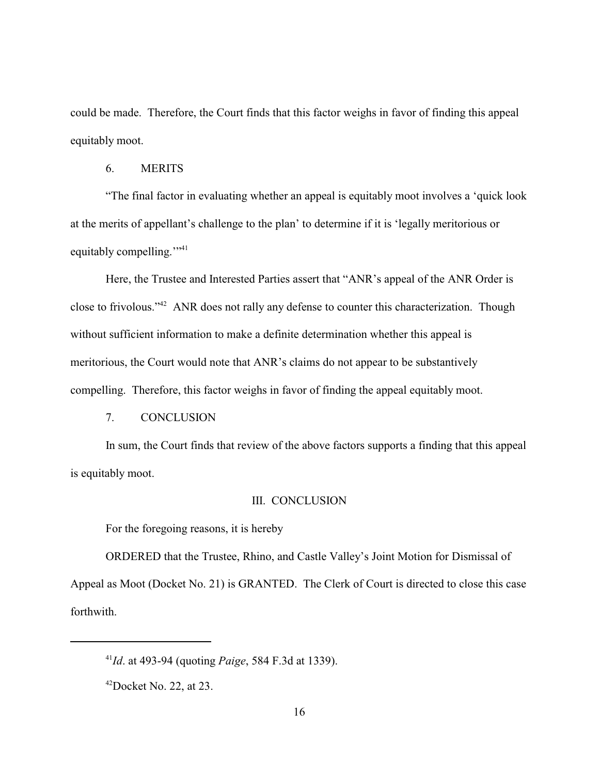could be made. Therefore, the Court finds that this factor weighs in favor of finding this appeal equitably moot.

#### 6. MERITS

"The final factor in evaluating whether an appeal is equitably moot involves a 'quick look at the merits of appellant's challenge to the plan' to determine if it is 'legally meritorious or equitably compelling."

Here, the Trustee and Interested Parties assert that "ANR's appeal of the ANR Order is close to frivolous."<sup>42</sup> ANR does not rally any defense to counter this characterization. Though without sufficient information to make a definite determination whether this appeal is meritorious, the Court would note that ANR's claims do not appear to be substantively compelling. Therefore, this factor weighs in favor of finding the appeal equitably moot.

#### 7. CONCLUSION

In sum, the Court finds that review of the above factors supports a finding that this appeal is equitably moot.

#### III. CONCLUSION

For the foregoing reasons, it is hereby

ORDERED that the Trustee, Rhino, and Castle Valley's Joint Motion for Dismissal of Appeal as Moot (Docket No. 21) is GRANTED. The Clerk of Court is directed to close this case forthwith.

<sup>&</sup>lt;sup>41</sup>*Id*. at 493-94 (quoting *Paige*, 584 F.3d at 1339).

 $^{42}$ Docket No. 22, at 23.